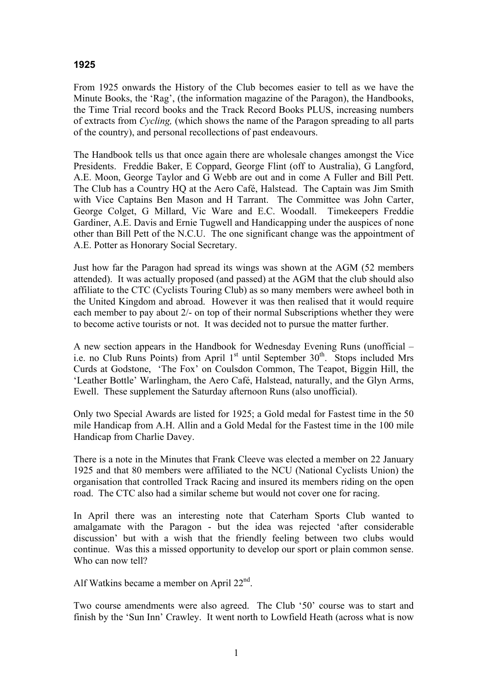## **1925**

From 1925 onwards the History of the Club becomes easier to tell as we have the Minute Books, the 'Rag', (the information magazine of the Paragon), the Handbooks, the Time Trial record books and the Track Record Books PLUS, increasing numbers of extracts from *Cycling,* (which shows the name of the Paragon spreading to all parts of the country), and personal recollections of past endeavours.

The Handbook tells us that once again there are wholesale changes amongst the Vice Presidents. Freddie Baker, E Coppard, George Flint (off to Australia), G Langford, A.E. Moon, George Taylor and G Webb are out and in come A Fuller and Bill Pett. The Club has a Country HQ at the Aero Café, Halstead. The Captain was Jim Smith with Vice Captains Ben Mason and H Tarrant. The Committee was John Carter, George Colget, G Millard, Vic Ware and E.C. Woodall. Timekeepers Freddie Gardiner, A.E. Davis and Ernie Tugwell and Handicapping under the auspices of none other than Bill Pett of the N.C.U. The one significant change was the appointment of A.E. Potter as Honorary Social Secretary.

Just how far the Paragon had spread its wings was shown at the AGM (52 members attended). It was actually proposed (and passed) at the AGM that the club should also affiliate to the CTC (Cyclists Touring Club) as so many members were awheel both in the United Kingdom and abroad. However it was then realised that it would require each member to pay about 2/- on top of their normal Subscriptions whether they were to become active tourists or not. It was decided not to pursue the matter further.

A new section appears in the Handbook for Wednesday Evening Runs (unofficial – i.e. no Club Runs Points) from April  $1<sup>st</sup>$  until September  $30<sup>th</sup>$ . Stops included Mrs Curds at Godstone, 'The Fox' on Coulsdon Common, The Teapot, Biggin Hill, the 'Leather Bottle' Warlingham, the Aero Café, Halstead, naturally, and the Glyn Arms, Ewell. These supplement the Saturday afternoon Runs (also unofficial).

Only two Special Awards are listed for 1925; a Gold medal for Fastest time in the 50 mile Handicap from A.H. Allin and a Gold Medal for the Fastest time in the 100 mile Handicap from Charlie Davey.

There is a note in the Minutes that Frank Cleeve was elected a member on 22 January 1925 and that 80 members were affiliated to the NCU (National Cyclists Union) the organisation that controlled Track Racing and insured its members riding on the open road. The CTC also had a similar scheme but would not cover one for racing.

In April there was an interesting note that Caterham Sports Club wanted to amalgamate with the Paragon - but the idea was rejected 'after considerable discussion' but with a wish that the friendly feeling between two clubs would continue. Was this a missed opportunity to develop our sport or plain common sense. Who can now tell?

Alf Watkins became a member on April  $22<sup>nd</sup>$ .

Two course amendments were also agreed. The Club '50' course was to start and finish by the 'Sun Inn' Crawley. It went north to Lowfield Heath (across what is now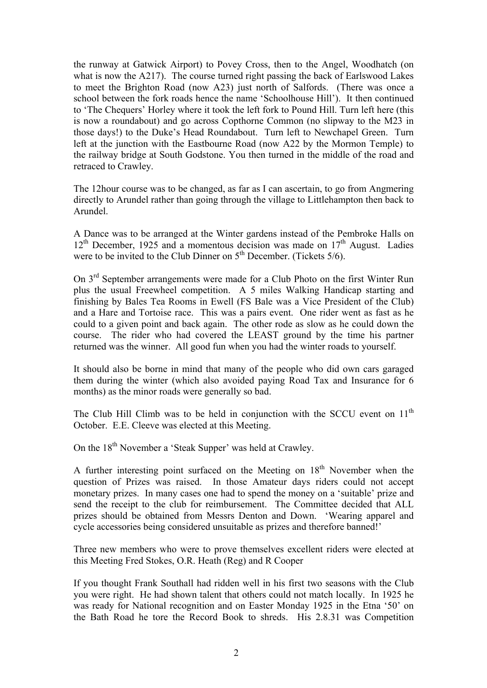the runway at Gatwick Airport) to Povey Cross, then to the Angel, Woodhatch (on what is now the A217). The course turned right passing the back of Earlswood Lakes to meet the Brighton Road (now A23) just north of Salfords. (There was once a school between the fork roads hence the name 'Schoolhouse Hill'). It then continued to 'The Chequers' Horley where it took the left fork to Pound Hill. Turn left here (this is now a roundabout) and go across Copthorne Common (no slipway to the M23 in those days!) to the Duke's Head Roundabout. Turn left to Newchapel Green. Turn left at the junction with the Eastbourne Road (now A22 by the Mormon Temple) to the railway bridge at South Godstone. You then turned in the middle of the road and retraced to Crawley.

The 12hour course was to be changed, as far as I can ascertain, to go from Angmering directly to Arundel rather than going through the village to Littlehampton then back to Arundel.

A Dance was to be arranged at the Winter gardens instead of the Pembroke Halls on  $12<sup>th</sup>$  December, 1925 and a momentous decision was made on  $17<sup>th</sup>$  August. Ladies were to be invited to the Club Dinner on  $5<sup>th</sup>$  December. (Tickets  $5/6$ ).

On 3rd September arrangements were made for a Club Photo on the first Winter Run plus the usual Freewheel competition. A 5 miles Walking Handicap starting and finishing by Bales Tea Rooms in Ewell (FS Bale was a Vice President of the Club) and a Hare and Tortoise race. This was a pairs event. One rider went as fast as he could to a given point and back again. The other rode as slow as he could down the course. The rider who had covered the LEAST ground by the time his partner returned was the winner. All good fun when you had the winter roads to yourself.

It should also be borne in mind that many of the people who did own cars garaged them during the winter (which also avoided paying Road Tax and Insurance for 6 months) as the minor roads were generally so bad.

The Club Hill Climb was to be held in conjunction with the SCCU event on  $11<sup>th</sup>$ October. E.E. Cleeve was elected at this Meeting.

On the 18<sup>th</sup> November a 'Steak Supper' was held at Crawley.

A further interesting point surfaced on the Meeting on  $18<sup>th</sup>$  November when the question of Prizes was raised. In those Amateur days riders could not accept monetary prizes. In many cases one had to spend the money on a 'suitable' prize and send the receipt to the club for reimbursement. The Committee decided that ALL prizes should be obtained from Messrs Denton and Down. 'Wearing apparel and cycle accessories being considered unsuitable as prizes and therefore banned!'

Three new members who were to prove themselves excellent riders were elected at this Meeting Fred Stokes, O.R. Heath (Reg) and R Cooper

If you thought Frank Southall had ridden well in his first two seasons with the Club you were right. He had shown talent that others could not match locally. In 1925 he was ready for National recognition and on Easter Monday 1925 in the Etna '50' on the Bath Road he tore the Record Book to shreds. His 2.8.31 was Competition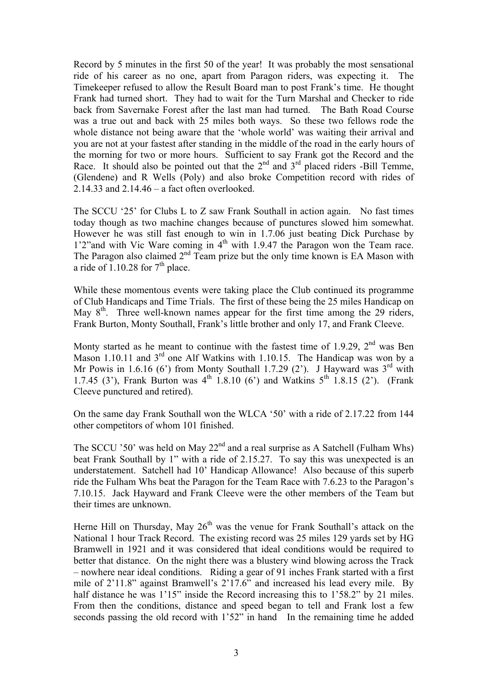Record by 5 minutes in the first 50 of the year! It was probably the most sensational ride of his career as no one, apart from Paragon riders, was expecting it. The Timekeeper refused to allow the Result Board man to post Frank's time. He thought Frank had turned short. They had to wait for the Turn Marshal and Checker to ride back from Savernake Forest after the last man had turned. The Bath Road Course was a true out and back with 25 miles both ways. So these two fellows rode the whole distance not being aware that the 'whole world' was waiting their arrival and you are not at your fastest after standing in the middle of the road in the early hours of the morning for two or more hours. Sufficient to say Frank got the Record and the Race. It should also be pointed out that the  $2<sup>nd</sup>$  and  $3<sup>rd</sup>$  placed riders -Bill Temme, (Glendene) and R Wells (Poly) and also broke Competition record with rides of 2.14.33 and 2.14.46 – a fact often overlooked.

The SCCU '25' for Clubs L to Z saw Frank Southall in action again. No fast times today though as two machine changes because of punctures slowed him somewhat. However he was still fast enough to win in 1.7.06 just beating Dick Purchase by 1'2"and with Vic Ware coming in 4<sup>th</sup> with 1.9.47 the Paragon won the Team race. The Paragon also claimed  $2<sup>nd</sup>$  Team prize but the only time known is EA Mason with a ride of  $1.10.28$  for  $7<sup>th</sup>$  place.

While these momentous events were taking place the Club continued its programme of Club Handicaps and Time Trials. The first of these being the 25 miles Handicap on May 8<sup>th</sup>. Three well-known names appear for the first time among the 29 riders, Frank Burton, Monty Southall, Frank's little brother and only 17, and Frank Cleeve.

Monty started as he meant to continue with the fastest time of 1.9.29,  $2<sup>nd</sup>$  was Ben Mason 1.10.11 and 3<sup>rd</sup> one Alf Watkins with 1.10.15. The Handicap was won by a Mr Powis in 1.6.16 (6') from Monty Southall 1.7.29 (2'). J Hayward was  $3<sup>rd</sup>$  with 1.7.45 (3<sup>'</sup>), Frank Burton was  $4^{th}$  1.8.10 (6<sup>'</sup>) and Watkins  $5^{th}$  1.8.15 (2<sup>'</sup>). (Frank Cleeve punctured and retired).

On the same day Frank Southall won the WLCA '50' with a ride of 2.17.22 from 144 other competitors of whom 101 finished.

The SCCU '50' was held on May  $22<sup>nd</sup>$  and a real surprise as A Satchell (Fulham Whs) beat Frank Southall by 1" with a ride of 2.15.27. To say this was unexpected is an understatement. Satchell had 10' Handicap Allowance! Also because of this superb ride the Fulham Whs beat the Paragon for the Team Race with 7.6.23 to the Paragon's 7.10.15. Jack Hayward and Frank Cleeve were the other members of the Team but their times are unknown.

Herne Hill on Thursday, May  $26<sup>th</sup>$  was the venue for Frank Southall's attack on the National 1 hour Track Record. The existing record was 25 miles 129 yards set by HG Bramwell in 1921 and it was considered that ideal conditions would be required to better that distance. On the night there was a blustery wind blowing across the Track – nowhere near ideal conditions. Riding a gear of 91 inches Frank started with a first mile of 2'11.8" against Bramwell's 2'17.6" and increased his lead every mile. By half distance he was 1'15" inside the Record increasing this to 1'58.2" by 21 miles. From then the conditions, distance and speed began to tell and Frank lost a few seconds passing the old record with 1'52" in hand In the remaining time he added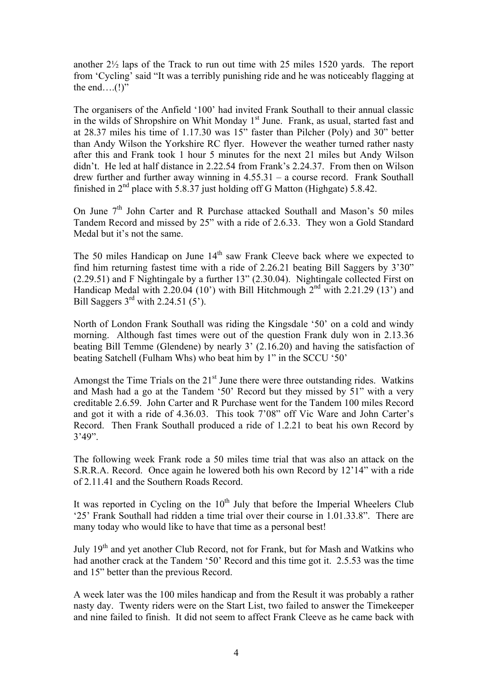another 2½ laps of the Track to run out time with 25 miles 1520 yards. The report from 'Cycling' said "It was a terribly punishing ride and he was noticeably flagging at the end….(!)"

The organisers of the Anfield '100' had invited Frank Southall to their annual classic in the wilds of Shropshire on Whit Monday  $1<sup>st</sup>$  June. Frank, as usual, started fast and at 28.37 miles his time of 1.17.30 was 15" faster than Pilcher (Poly) and 30" better than Andy Wilson the Yorkshire RC flyer. However the weather turned rather nasty after this and Frank took 1 hour 5 minutes for the next 21 miles but Andy Wilson didn't. He led at half distance in 2.22.54 from Frank's 2.24.37. From then on Wilson drew further and further away winning in 4.55.31 – a course record. Frank Southall finished in  $2<sup>nd</sup>$  place with 5.8.37 just holding off G Matton (Highgate) 5.8.42.

On June  $7<sup>th</sup>$  John Carter and R Purchase attacked Southall and Mason's 50 miles Tandem Record and missed by 25" with a ride of 2.6.33. They won a Gold Standard Medal but it's not the same.

The 50 miles Handicap on June 14<sup>th</sup> saw Frank Cleeve back where we expected to find him returning fastest time with a ride of 2.26.21 beating Bill Saggers by 3'30" (2.29.51) and F Nightingale by a further 13" (2.30.04). Nightingale collected First on Handicap Medal with 2.20.04 (10<sup>'</sup>) with Bill Hitchmough  $2<sup>nd</sup>$  with 2.21.29 (13<sup>'</sup>) and Bill Saggers  $3<sup>rd</sup>$  with 2.24.51 (5<sup>2</sup>).

North of London Frank Southall was riding the Kingsdale '50' on a cold and windy morning. Although fast times were out of the question Frank duly won in 2.13.36 beating Bill Temme (Glendene) by nearly 3' (2.16.20) and having the satisfaction of beating Satchell (Fulham Whs) who beat him by 1" in the SCCU '50'

Amongst the Time Trials on the  $21<sup>st</sup>$  June there were three outstanding rides. Watkins and Mash had a go at the Tandem '50' Record but they missed by 51" with a very creditable 2.6.59. John Carter and R Purchase went for the Tandem 100 miles Record and got it with a ride of 4.36.03. This took 7'08" off Vic Ware and John Carter's Record. Then Frank Southall produced a ride of 1.2.21 to beat his own Record by 3'49".

The following week Frank rode a 50 miles time trial that was also an attack on the S.R.R.A. Record. Once again he lowered both his own Record by 12'14" with a ride of 2.11.41 and the Southern Roads Record.

It was reported in Cycling on the  $10<sup>th</sup>$  July that before the Imperial Wheelers Club '25' Frank Southall had ridden a time trial over their course in 1.01.33.8". There are many today who would like to have that time as a personal best!

July 19th and yet another Club Record, not for Frank, but for Mash and Watkins who had another crack at the Tandem '50' Record and this time got it. 2.5.53 was the time and 15" better than the previous Record.

A week later was the 100 miles handicap and from the Result it was probably a rather nasty day. Twenty riders were on the Start List, two failed to answer the Timekeeper and nine failed to finish. It did not seem to affect Frank Cleeve as he came back with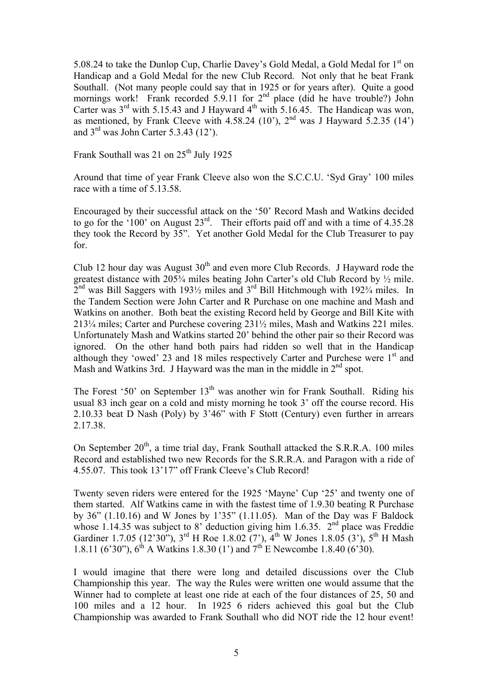5.08.24 to take the Dunlop Cup, Charlie Davey's Gold Medal, a Gold Medal for 1<sup>st</sup> on Handicap and a Gold Medal for the new Club Record. Not only that he beat Frank Southall. (Not many people could say that in 1925 or for years after). Quite a good mornings work! Frank recorded  $5.9.11$  for  $2<sup>nd</sup>$  place (did he have trouble?) John Carter was  $3<sup>rd</sup>$  with 5.15.43 and J Hayward  $4<sup>th</sup>$  with 5.16.45. The Handicap was won, as mentioned, by Frank Cleeve with 4.58.24 (10<sup>o</sup>), 2<sup>nd</sup> was J Hayward 5.2.35 (14<sup>o</sup>) and  $3<sup>rd</sup>$  was John Carter 5.3.43 (12').

Frank Southall was 21 on 25<sup>th</sup> July 1925

Around that time of year Frank Cleeve also won the S.C.C.U. 'Syd Gray' 100 miles race with a time of 5.13.58.

Encouraged by their successful attack on the '50' Record Mash and Watkins decided to go for the '100' on August  $23<sup>rd</sup>$ . Their efforts paid off and with a time of 4.35.28 they took the Record by 35". Yet another Gold Medal for the Club Treasurer to pay for.

Club 12 hour day was August  $30<sup>th</sup>$  and even more Club Records. J Hayward rode the greatest distance with 205¾ miles beating John Carter's old Club Record by ½ mile.  $2<sup>nd</sup>$  was Bill Saggers with 193<sup>1</sup>/<sub>2</sub> miles and 3<sup>rd</sup> Bill Hitchmough with 192<sup>3</sup>/<sub>4</sub> miles. In the Tandem Section were John Carter and R Purchase on one machine and Mash and Watkins on another. Both beat the existing Record held by George and Bill Kite with 213¼ miles; Carter and Purchese covering 231½ miles, Mash and Watkins 221 miles. Unfortunately Mash and Watkins started 20' behind the other pair so their Record was ignored. On the other hand both pairs had ridden so well that in the Handicap although they 'owed' 23 and 18 miles respectively Carter and Purchese were  $1<sup>st</sup>$  and Mash and Watkins 3rd. J Hayward was the man in the middle in  $2<sup>nd</sup>$  spot.

The Forest '50' on September  $13<sup>th</sup>$  was another win for Frank Southall. Riding his usual 83 inch gear on a cold and misty morning he took 3' off the course record. His 2.10.33 beat D Nash (Poly) by 3'46" with F Stott (Century) even further in arrears 2.17.38.

On September  $20^{th}$ , a time trial day, Frank Southall attacked the S.R.R.A. 100 miles Record and established two new Records for the S.R.R.A. and Paragon with a ride of 4.55.07. This took 13'17" off Frank Cleeve's Club Record!

Twenty seven riders were entered for the 1925 'Mayne' Cup '25' and twenty one of them started. Alf Watkins came in with the fastest time of 1.9.30 beating R Purchase by 36" (1.10.16) and W Jones by 1'35" (1.11.05). Man of the Day was F Baldock whose 1.14.35 was subject to 8' deduction giving him 1.6.35.  $2<sup>nd</sup>$  place was Freddie Gardiner 1.7.05 (12'30"), 3<sup>rd</sup> H Roe 1.8.02 (7'), 4<sup>th</sup> W Jones 1.8.05 (3'), 5<sup>th</sup> H Mash 1.8.11 (6'30"),  $6^{th}$  A Watkins 1.8.30 (1') and  $7^{th}$  E Newcombe 1.8.40 (6'30).

I would imagine that there were long and detailed discussions over the Club Championship this year. The way the Rules were written one would assume that the Winner had to complete at least one ride at each of the four distances of 25, 50 and 100 miles and a 12 hour. In 1925 6 riders achieved this goal but the Club Championship was awarded to Frank Southall who did NOT ride the 12 hour event!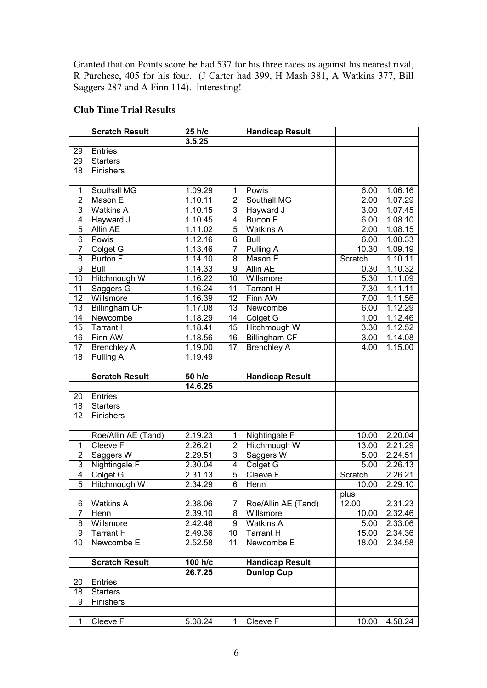Granted that on Points score he had 537 for his three races as against his nearest rival, R Purchese, 405 for his four. (J Carter had 399, H Mash 381, A Watkins 377, Bill Saggers 287 and A Finn 114). Interesting!

## **Club Time Trial Results**

|                 | <b>Scratch Result</b> | 25 h/c               |                 | <b>Handicap Result</b> |                   |                      |
|-----------------|-----------------------|----------------------|-----------------|------------------------|-------------------|----------------------|
|                 |                       | 3.5.25               |                 |                        |                   |                      |
| 29              | Entries               |                      |                 |                        |                   |                      |
| 29              | <b>Starters</b>       |                      |                 |                        |                   |                      |
| $\overline{18}$ | Finishers             |                      |                 |                        |                   |                      |
|                 |                       |                      |                 |                        |                   |                      |
| $\mathbf 1$     | Southall MG           | 1.09.29              | $\mathbf{1}$    | Powis                  | 6.00              | 1.06.16              |
| $\overline{2}$  | Mason E               | 1.10.11              | $\overline{2}$  | Southall MG            | 2.00              | 1.07.29              |
| $\overline{3}$  | <b>Watkins A</b>      | 1.10.15              | $\overline{3}$  | Hayward J              | 3.00              | 1.07.45              |
| $\overline{4}$  | Hayward J             | 1.10.45              | $\overline{4}$  | <b>Burton F</b>        | 6.00              | 1.08.10              |
| $\overline{5}$  | <b>Allin AE</b>       | 1.11.02              | $\overline{5}$  | <b>Watkins A</b>       | 2.00              | 1.08.15              |
| $\overline{6}$  | Powis                 | $1.\overline{12.16}$ | $\overline{6}$  | <b>Bull</b>            | 6.00              | 1.08.33              |
| $\overline{7}$  | Colget $\overline{G}$ | 1.13.46              | $\overline{7}$  | Pulling A              | 10.30             | 1.09.19              |
| $\overline{8}$  | <b>Burton F</b>       | 1.14.10              | $\overline{8}$  | Mason E                | Scratch           | 1.10.11              |
| $\overline{9}$  | <b>Bull</b>           | 1.14.33              | $\overline{9}$  | <b>Allin AE</b>        | 0.30              | 1.10.32              |
| $\overline{10}$ | Hitchmough W          | 1.16.22              | $\overline{10}$ | Willsmore              | 5.30              | 1.11.09              |
| 11              | Saggers G             | 1.16.24              | 11              | <b>Tarrant H</b>       | 7.30              | 1.11.11              |
| 12              | Willsmore             | 1.16.39              | 12              | Finn AW                | 7.00              | 1.11.56              |
| 13              | <b>Billingham CF</b>  | 1.17.08              | 13              | Newcombe               | 6.00              | 1.12.29              |
| 14              | Newcombe              | 1.18.29              | 14              | Colget G               | 1.00              | 1.12.46              |
| $\overline{15}$ | <b>Tarrant H</b>      | 1.18.41              | 15              | Hitchmough W           | 3.30              | 1.12.52              |
| 16              | Finn AW               | 1.18.56              | $\overline{16}$ | <b>Billingham CF</b>   | $\overline{3.00}$ | 1.14.08              |
| 17              | <b>Brenchley A</b>    | 1.19.00              | $\overline{17}$ | <b>Brenchley A</b>     | 4.00              | 1.15.00              |
| $\overline{18}$ | Pulling A             | 1.19.49              |                 |                        |                   |                      |
|                 |                       |                      |                 |                        |                   |                      |
|                 | <b>Scratch Result</b> | 50 h/c               |                 | <b>Handicap Result</b> |                   |                      |
|                 |                       | 14.6.25              |                 |                        |                   |                      |
| 20              | Entries               |                      |                 |                        |                   |                      |
| 18              | <b>Starters</b>       |                      |                 |                        |                   |                      |
| $\overline{12}$ | Finishers             |                      |                 |                        |                   |                      |
|                 |                       |                      |                 |                        |                   |                      |
|                 | Roe/Allin AE (Tand)   | 2.19.23              | $\mathbf{1}$    | Nightingale F          | 10.00             | 2.20.04              |
| $\mathbf{1}$    | Cleeve F              | 2.26.21              | $\overline{2}$  | Hitchmough W           | 13.00             | $2.\overline{21.29}$ |
| $\overline{2}$  | Saggers W             | 2.29.51              | $\overline{3}$  | Saggers W              | 5.00              | 2.24.51              |
| $\overline{3}$  | Nightingale F         | 2.30.04              | $\overline{4}$  | Colget G               | 5.00              | 2.26.13              |
| $\overline{4}$  | Colget G              | 2.31.13              | $\overline{5}$  | Cleeve F               | Scratch           | $2.\overline{26.21}$ |
| $\overline{5}$  | Hitchmough W          | 2.34.29              | $\overline{6}$  | Henn                   | 10.00             | 2.29.10              |
|                 |                       |                      |                 |                        | plus              |                      |
| 6               | <b>Watkins A</b>      | 2.38.06              | 7               | Roe/Allin AE (Tand)    | 12.00             | 2.31.23              |
| $\overline{7}$  | Henn                  | 2.39.10              | 8               | Willsmore              | 10.00             | 2.32.46              |
| 8               | Willsmore             | 2.42.46              | 9               | <b>Watkins A</b>       | 5.00              | 2.33.06              |
| 9               | <b>Tarrant H</b>      | 2.49.36              | 10              | <b>Tarrant H</b>       | 15.00             | 2.34.36              |
| 10              | Newcombe E            | 2.52.58              | 11              | Newcombe E             | 18.00             | 2.34.58              |
|                 |                       |                      |                 |                        |                   |                      |
|                 | <b>Scratch Result</b> | 100 h/c              |                 | <b>Handicap Result</b> |                   |                      |
|                 |                       | 26.7.25              |                 | <b>Dunlop Cup</b>      |                   |                      |
| 20              | Entries               |                      |                 |                        |                   |                      |
| 18              | <b>Starters</b>       |                      |                 |                        |                   |                      |
| 9               | Finishers             |                      |                 |                        |                   |                      |
|                 |                       |                      |                 |                        |                   |                      |
| $\mathbf{1}$    | Cleeve F              | 5.08.24              | 1               | Cleeve F               | 10.00             | 4.58.24              |